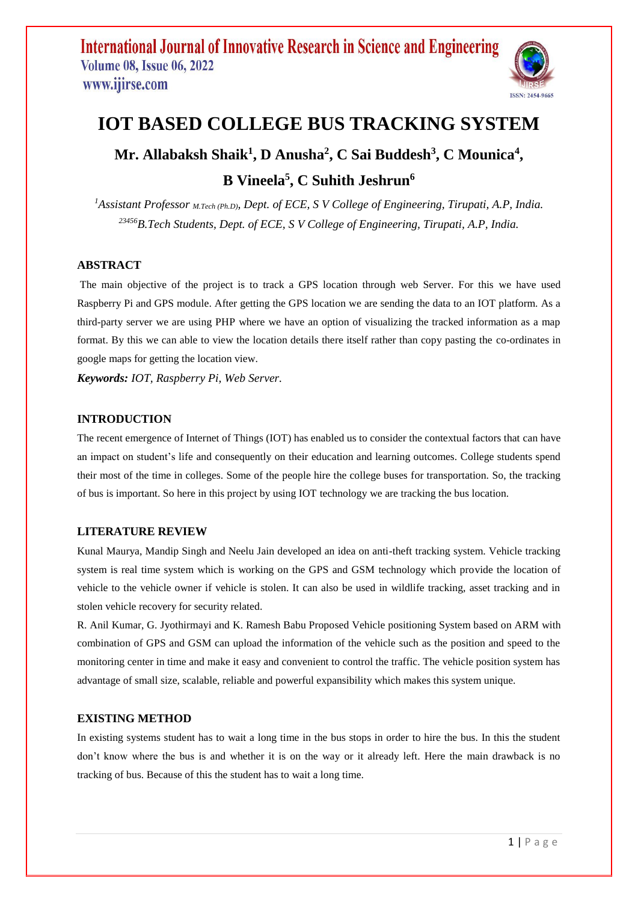

# **IOT BASED COLLEGE BUS TRACKING SYSTEM**

# **Mr. Allabaksh Shaik<sup>1</sup> , D Anusha<sup>2</sup> , C Sai Buddesh<sup>3</sup> , C Mounica<sup>4</sup> , B Vineela<sup>5</sup> , C Suhith Jeshrun<sup>6</sup>**

*<sup>1</sup>Assistant Professor M.Tech (Ph.D), Dept. of ECE, S V College of Engineering, Tirupati, A.P, India. <sup>23456</sup>B.Tech Students, Dept. of ECE, S V College of Engineering, Tirupati, A.P, India.*

### **ABSTRACT**

The main objective of the project is to track a GPS location through web Server. For this we have used Raspberry Pi and GPS module. After getting the GPS location we are sending the data to an IOT platform. As a third-party server we are using PHP where we have an option of visualizing the tracked information as a map format. By this we can able to view the location details there itself rather than copy pasting the co-ordinates in google maps for getting the location view.

*Keywords: IOT, Raspberry Pi, Web Server.*

### **INTRODUCTION**

The recent emergence of Internet of Things (IOT) has enabled us to consider the contextual factors that can have an impact on student's life and consequently on their education and learning outcomes. College students spend their most of the time in colleges. Some of the people hire the college buses for transportation. So, the tracking of bus is important. So here in this project by using IOT technology we are tracking the bus location.

### **LITERATURE REVIEW**

Kunal Maurya, Mandip Singh and Neelu Jain developed an idea on anti-theft tracking system. Vehicle tracking system is real time system which is working on the GPS and GSM technology which provide the location of vehicle to the vehicle owner if vehicle is stolen. It can also be used in wildlife tracking, asset tracking and in stolen vehicle recovery for security related.

R. Anil Kumar, G. Jyothirmayi and K. Ramesh Babu Proposed Vehicle positioning System based on ARM with combination of GPS and GSM can upload the information of the vehicle such as the position and speed to the monitoring center in time and make it easy and convenient to control the traffic. The vehicle position system has advantage of small size, scalable, reliable and powerful expansibility which makes this system unique.

### **EXISTING METHOD**

In existing systems student has to wait a long time in the bus stops in order to hire the bus. In this the student don't know where the bus is and whether it is on the way or it already left. Here the main drawback is no tracking of bus. Because of this the student has to wait a long time.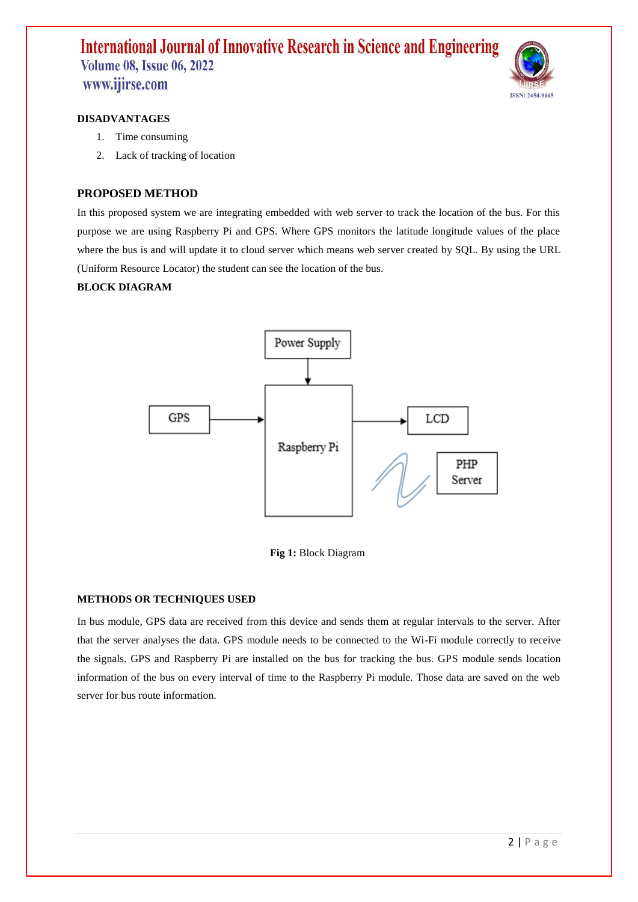

#### **DISADVANTAGES**

- 1. Time consuming
- 2. Lack of tracking of location

### **PROPOSED METHOD**

In this proposed system we are integrating embedded with web server to track the location of the bus. For this purpose we are using Raspberry Pi and GPS. Where GPS monitors the latitude longitude values of the place where the bus is and will update it to cloud server which means web server created by SQL. By using the URL (Uniform Resource Locator) the student can see the location of the bus.

### **BLOCK DIAGRAM**



#### **Fig 1:** Block Diagram

#### **METHODS OR TECHNIQUES USED**

In bus module, GPS data are received from this device and sends them at regular intervals to the server. After that the server analyses the data. GPS module needs to be connected to the Wi-Fi module correctly to receive the signals. GPS and Raspberry Pi are installed on the bus for tracking the bus. GPS module sends location information of the bus on every interval of time to the Raspberry Pi module. Those data are saved on the web server for bus route information.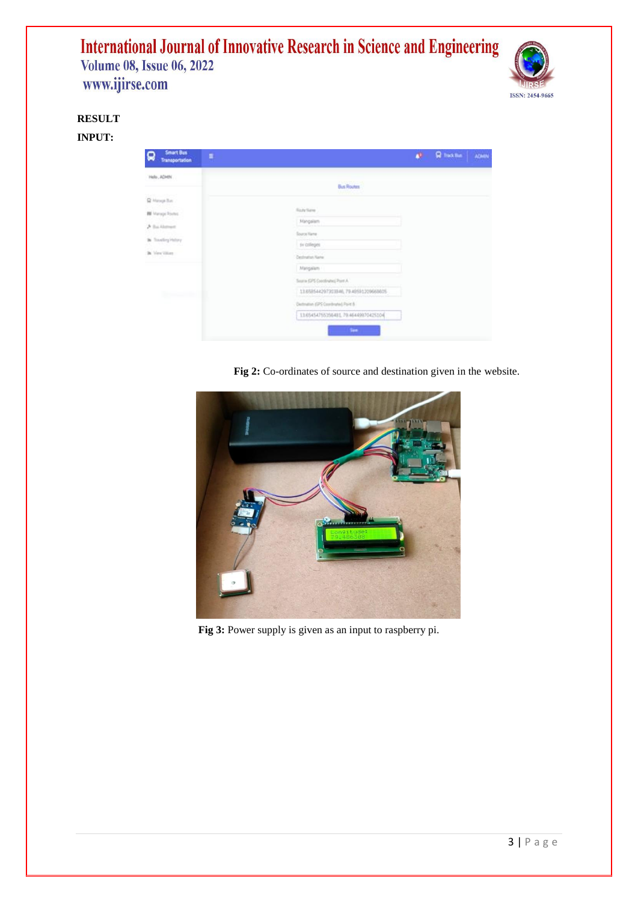

## **RESULT**

**INPUT:**

| <b>Smart Bus</b><br>$\Omega$<br>Transportation                                                                                           | $\equiv$ |                                                                       | <b>All Rheklin</b> | ADMIN |
|------------------------------------------------------------------------------------------------------------------------------------------|----------|-----------------------------------------------------------------------|--------------------|-------|
| Hels, ADMN<br>O Hange Bay<br><b>BE</b> Manage Routes<br>A Backbonett<br><b>By Traveling Hellery</b><br>By Vew Yours<br><b>Britannica</b> |          | <b>Bus Routes</b>                                                     |                    |       |
|                                                                                                                                          |          | Rody Nate                                                             |                    |       |
|                                                                                                                                          |          | <b>Mangalism</b><br><b>Sozon Keme</b><br>sy criteges                  |                    |       |
|                                                                                                                                          |          | Destrution Name<br>Margalan                                           |                    |       |
|                                                                                                                                          |          | Soona (DPS Continuine) Pont A<br>11658544297303946,7948591209668805   |                    |       |
|                                                                                                                                          |          | Detruton (PS Combrate) Point &<br>13.05454755356481.70.464.0070425104 |                    |       |
|                                                                                                                                          |          | Text.                                                                 |                    |       |

**Fig 2:** Co-ordinates of source and destination given in the website.



Fig 3: Power supply is given as an input to raspberry pi.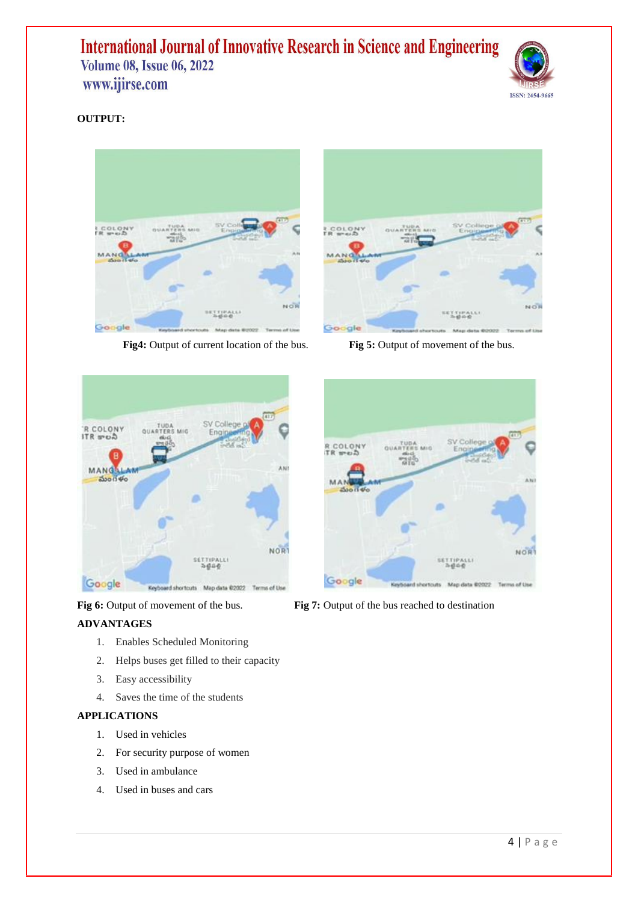

### **OUTPUT:**



**Fig4:** Output of current location of the bus. **Fig5:** Output of movement of the bus.





### **ADVANTAGES**

- 1. Enables Scheduled Monitoring
- 2. Helps buses get filled to their capacity
- 3. Easy accessibility
- 4. Saves the time of the students

### **APPLICATIONS**

- 1. Used in vehicles
- 2. For security purpose of women
- 3. Used in ambulance
- 4. Used in buses and cars





**Fig 6:** Output of movement of the bus. **Fig 7:** Output of the bus reached to destination